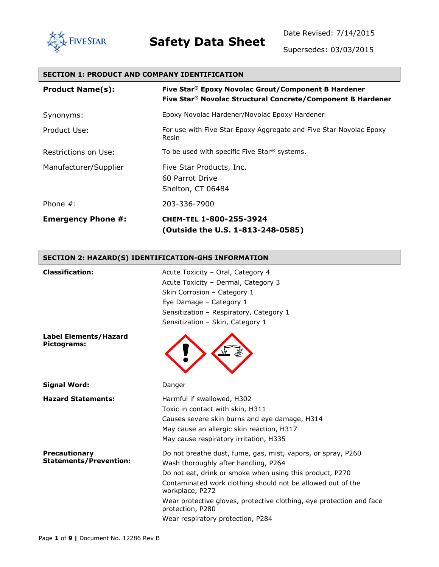

# **FIVE STAR Safety Data Sheet**

Date Revised: 7/14/2015

Supersedes: 03/03/2015

| <b>SECTION 1: PRODUCT AND COMPANY IDENTIFICATION</b> |                                                                                                                                |  |
|------------------------------------------------------|--------------------------------------------------------------------------------------------------------------------------------|--|
| <b>Product Name(s):</b>                              | Five Star® Epoxy Novolac Grout/Component B Hardener<br>Five Star <sup>®</sup> Novolac Structural Concrete/Component B Hardener |  |
| Synonyms:                                            | Epoxy Novolac Hardener/Novolac Epoxy Hardener                                                                                  |  |
| Product Use:                                         | For use with Five Star Epoxy Aggregate and Five Star Novolac Epoxy<br>Resin                                                    |  |
| Restrictions on Use:                                 | To be used with specific Five Star <sup>®</sup> systems.                                                                       |  |
| Manufacturer/Supplier                                | Five Star Products, Inc.<br>60 Parrot Drive<br>Shelton, CT 06484                                                               |  |
| Phone $#$ :                                          | 203-336-7900                                                                                                                   |  |
| <b>Emergency Phone #:</b>                            | CHEM-TEL 1-800-255-3924<br>(Outside the U.S. 1-813-248-0585)                                                                   |  |

#### **SECTION 2: HAZARD(S) IDENTIFICATION-GHS INFORMATION**

| <b>Classification:</b>                                | Acute Toxicity - Oral, Category 4<br>Acute Toxicity - Dermal, Category 3<br>Skin Corrosion - Category 1<br>Eye Damage - Category 1<br>Sensitization - Respiratory, Category 1<br>Sensitization - Skin, Category 1                                                                                                                              |
|-------------------------------------------------------|------------------------------------------------------------------------------------------------------------------------------------------------------------------------------------------------------------------------------------------------------------------------------------------------------------------------------------------------|
| <b>Label Elements/Hazard</b><br>Pictograms:           |                                                                                                                                                                                                                                                                                                                                                |
| <b>Signal Word:</b>                                   | Danger                                                                                                                                                                                                                                                                                                                                         |
| <b>Hazard Statements:</b>                             | Harmful if swallowed, H302<br>Toxic in contact with skin, H311<br>Causes severe skin burns and eye damage, H314<br>May cause an allergic skin reaction, H317<br>May cause respiratory irritation, H335                                                                                                                                         |
| <b>Precautionary</b><br><b>Statements/Prevention:</b> | Do not breathe dust, fume, gas, mist, vapors, or spray, P260<br>Wash thoroughly after handling, P264<br>Do not eat, drink or smoke when using this product, P270<br>Contaminated work clothing should not be allowed out of the<br>workplace, P272<br>Wear protective gloves, protective clothing, eye protection and face<br>protection, P280 |

Wear respiratory protection, P284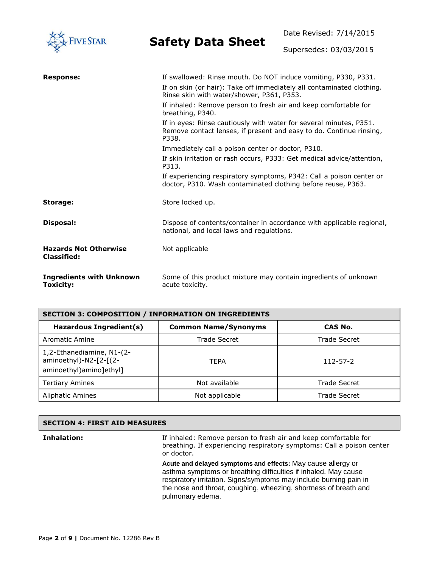

Date Revised: 7/14/2015

Supersedes: 03/03/2015

| <b>Response:</b>                                   | If swallowed: Rinse mouth. Do NOT induce vomiting, P330, P331.                                                                                     |
|----------------------------------------------------|----------------------------------------------------------------------------------------------------------------------------------------------------|
|                                                    | If on skin (or hair): Take off immediately all contaminated clothing.<br>Rinse skin with water/shower, P361, P353.                                 |
|                                                    | If inhaled: Remove person to fresh air and keep comfortable for<br>breathing, P340.                                                                |
|                                                    | If in eyes: Rinse cautiously with water for several minutes, P351.<br>Remove contact lenses, if present and easy to do. Continue rinsing,<br>P338. |
|                                                    | Immediately call a poison center or doctor, P310.                                                                                                  |
|                                                    | If skin irritation or rash occurs, P333: Get medical advice/attention,<br>P313.                                                                    |
|                                                    | If experiencing respiratory symptoms, P342: Call a poison center or<br>doctor, P310. Wash contaminated clothing before reuse, P363.                |
| Storage:                                           | Store locked up.                                                                                                                                   |
| Disposal:                                          | Dispose of contents/container in accordance with applicable regional,<br>national, and local laws and regulations.                                 |
| <b>Hazards Not Otherwise</b><br><b>Classified:</b> | Not applicable                                                                                                                                     |
| <b>Ingredients with Unknown</b><br>Toxicity:       | Some of this product mixture may contain ingredients of unknown<br>acute toxicity.                                                                 |

| <b>SECTION 3: COMPOSITION / INFORMATION ON INGREDIENTS</b>                     |                             |                |  |
|--------------------------------------------------------------------------------|-----------------------------|----------------|--|
| Hazardous Ingredient(s)                                                        | <b>Common Name/Synonyms</b> | CAS No.        |  |
| Aromatic Amine                                                                 | Trade Secret                | Trade Secret   |  |
| 1,2-Ethanediamine, N1-(2-<br>aminoethyl)-N2-[2-[(2-<br>aminoethyl)amino]ethyl] | <b>TEPA</b>                 | $112 - 57 - 2$ |  |
| <b>Tertiary Amines</b>                                                         | Not available               | Trade Secret   |  |
| <b>Aliphatic Amines</b>                                                        | Not applicable              | Trade Secret   |  |

| <b>SECTION 4: FIRST AID MEASURES</b> |                                                                                                                                                        |
|--------------------------------------|--------------------------------------------------------------------------------------------------------------------------------------------------------|
| Inhalation:                          | If inhaled: Remove person to fresh air and keep comfortable for<br>breathing. If experiencing respiratory symptoms: Call a poison center<br>or doctor. |

**Acute and delayed symptoms and effects:** May cause allergy or asthma symptoms or breathing difficulties if inhaled. May cause respiratory irritation. Signs/symptoms may include burning pain in the nose and throat, coughing, wheezing, shortness of breath and pulmonary edema.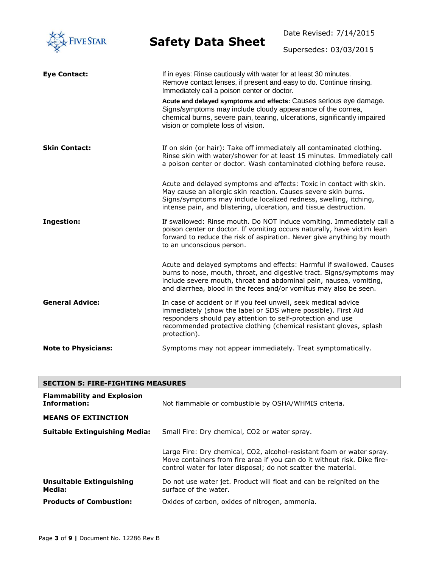

Date Revised: 7/14/2015

Supersedes: 03/03/2015

| <b>Eye Contact:</b>        | If in eyes: Rinse cautiously with water for at least 30 minutes.<br>Remove contact lenses, if present and easy to do. Continue rinsing.<br>Immediately call a poison center or doctor.                                                                                                   |
|----------------------------|------------------------------------------------------------------------------------------------------------------------------------------------------------------------------------------------------------------------------------------------------------------------------------------|
|                            | Acute and delayed symptoms and effects: Causes serious eye damage.<br>Signs/symptoms may include cloudy appearance of the cornea,<br>chemical burns, severe pain, tearing, ulcerations, significantly impaired<br>vision or complete loss of vision.                                     |
| <b>Skin Contact:</b>       | If on skin (or hair): Take off immediately all contaminated clothing.<br>Rinse skin with water/shower for at least 15 minutes. Immediately call<br>a poison center or doctor. Wash contaminated clothing before reuse.                                                                   |
|                            | Acute and delayed symptoms and effects: Toxic in contact with skin.<br>May cause an allergic skin reaction. Causes severe skin burns.<br>Signs/symptoms may include localized redness, swelling, itching,<br>intense pain, and blistering, ulceration, and tissue destruction.           |
| <b>Ingestion:</b>          | If swallowed: Rinse mouth. Do NOT induce vomiting. Immediately call a<br>poison center or doctor. If vomiting occurs naturally, have victim lean<br>forward to reduce the risk of aspiration. Never give anything by mouth<br>to an unconscious person.                                  |
|                            | Acute and delayed symptoms and effects: Harmful if swallowed. Causes<br>burns to nose, mouth, throat, and digestive tract. Signs/symptoms may<br>include severe mouth, throat and abdominal pain, nausea, vomiting,<br>and diarrhea, blood in the feces and/or vomitus may also be seen. |
| <b>General Advice:</b>     | In case of accident or if you feel unwell, seek medical advice<br>immediately (show the label or SDS where possible). First Aid<br>responders should pay attention to self-protection and use<br>recommended protective clothing (chemical resistant gloves, splash<br>protection).      |
| <b>Note to Physicians:</b> | Symptoms may not appear immediately. Treat symptomatically.                                                                                                                                                                                                                              |

| <b>SECTION 5: FIRE-FIGHTING MEASURES</b>          |                                                                                                                                                                                                                     |
|---------------------------------------------------|---------------------------------------------------------------------------------------------------------------------------------------------------------------------------------------------------------------------|
| <b>Flammability and Explosion</b><br>Information: | Not flammable or combustible by OSHA/WHMIS criteria.                                                                                                                                                                |
| <b>MEANS OF EXTINCTION</b>                        |                                                                                                                                                                                                                     |
| <b>Suitable Extinguishing Media:</b>              | Small Fire: Dry chemical, CO2 or water spray.                                                                                                                                                                       |
|                                                   | Large Fire: Dry chemical, CO2, alcohol-resistant foam or water spray.<br>Move containers from fire area if you can do it without risk. Dike fire-<br>control water for later disposal; do not scatter the material. |
| <b>Unsuitable Extinguishing</b><br>Media:         | Do not use water jet. Product will float and can be reignited on the<br>surface of the water.                                                                                                                       |
| <b>Products of Combustion:</b>                    | Oxides of carbon, oxides of nitrogen, ammonia.                                                                                                                                                                      |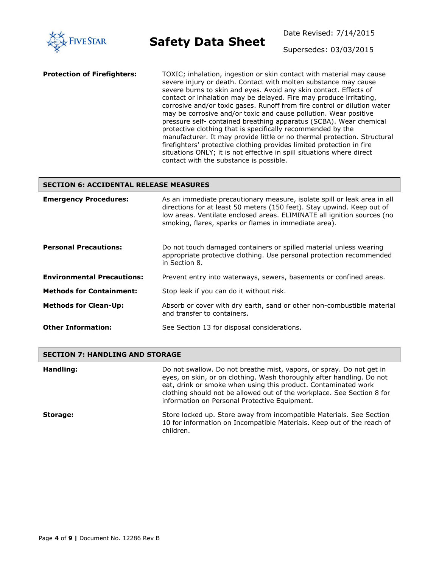

Supersedes: 03/03/2015

**Protection of Firefighters:** TOXIC; inhalation, ingestion or skin contact with material may cause severe injury or death. Contact with molten substance may cause severe burns to skin and eyes. Avoid any skin contact. Effects of contact or inhalation may be delayed. Fire may produce irritating, corrosive and/or toxic gases. Runoff from fire control or dilution water may be corrosive and/or toxic and cause pollution. Wear positive pressure self- contained breathing apparatus (SCBA). Wear chemical protective clothing that is specifically recommended by the manufacturer. It may provide little or no thermal protection. Structural firefighters' protective clothing provides limited protection in fire situations ONLY; it is not effective in spill situations where direct contact with the substance is possible.

#### **SECTION 6: ACCIDENTAL RELEASE MEASURES**

| <b>Emergency Procedures:</b>      | As an immediate precautionary measure, isolate spill or leak area in all<br>directions for at least 50 meters (150 feet). Stay upwind. Keep out of<br>low areas. Ventilate enclosed areas. ELIMINATE all ignition sources (no<br>smoking, flares, sparks or flames in immediate area). |
|-----------------------------------|----------------------------------------------------------------------------------------------------------------------------------------------------------------------------------------------------------------------------------------------------------------------------------------|
| <b>Personal Precautions:</b>      | Do not touch damaged containers or spilled material unless wearing<br>appropriate protective clothing. Use personal protection recommended<br>in Section 8.                                                                                                                            |
| <b>Environmental Precautions:</b> | Prevent entry into waterways, sewers, basements or confined areas.                                                                                                                                                                                                                     |
| <b>Methods for Containment:</b>   | Stop leak if you can do it without risk.                                                                                                                                                                                                                                               |
| <b>Methods for Clean-Up:</b>      | Absorb or cover with dry earth, sand or other non-combustible material<br>and transfer to containers.                                                                                                                                                                                  |
| <b>Other Information:</b>         | See Section 13 for disposal considerations.                                                                                                                                                                                                                                            |

#### **SECTION 7: HANDLING AND STORAGE**

| Handling: | Do not swallow. Do not breathe mist, vapors, or spray. Do not get in<br>eyes, on skin, or on clothing. Wash thoroughly after handling. Do not<br>eat, drink or smoke when using this product. Contaminated work<br>clothing should not be allowed out of the workplace. See Section 8 for<br>information on Personal Protective Equipment. |
|-----------|--------------------------------------------------------------------------------------------------------------------------------------------------------------------------------------------------------------------------------------------------------------------------------------------------------------------------------------------|
| Storage:  | Store locked up. Store away from incompatible Materials. See Section<br>10 for information on Incompatible Materials. Keep out of the reach of<br>children.                                                                                                                                                                                |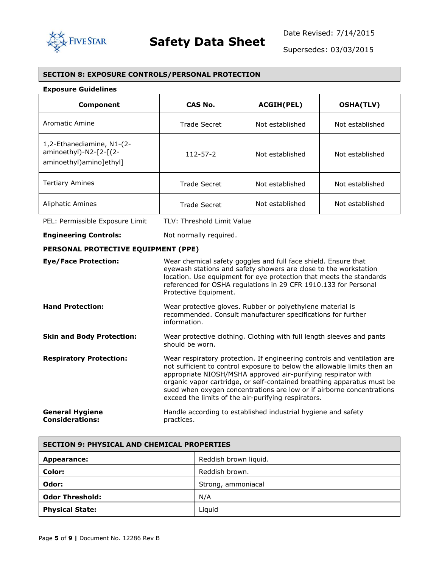

Supersedes: 03/03/2015

#### **SECTION 8: EXPOSURE CONTROLS/PERSONAL PROTECTION**

#### **Exposure Guidelines**

| Component                                                                        | CAS No.        | ACGIH(PEL)      | <b>OSHA(TLV)</b> |
|----------------------------------------------------------------------------------|----------------|-----------------|------------------|
| Aromatic Amine                                                                   | Trade Secret   | Not established | Not established  |
| 1,2-Ethanediamine, N1-(2-<br>aminoethyl)-N2-[2-[(2-<br>aminoethyl) amino ]ethyl] | $112 - 57 - 2$ | Not established | Not established  |
| <b>Tertiary Amines</b>                                                           | Trade Secret   | Not established | Not established  |
| <b>Aliphatic Amines</b>                                                          | Trade Secret   | Not established | Not established  |

PEL: Permissible Exposure Limit TLV: Threshold Limit Value

**Engineering Controls:** Not normally required.

#### **PERSONAL PROTECTIVE EQUIPMENT (PPE)**

| <b>Eye/Face Protection:</b>                      | Wear chemical safety goggles and full face shield. Ensure that<br>eyewash stations and safety showers are close to the workstation<br>location. Use equipment for eye protection that meets the standards<br>referenced for OSHA regulations in 29 CFR 1910.133 for Personal<br>Protective Equipment.                                                                                                                           |
|--------------------------------------------------|---------------------------------------------------------------------------------------------------------------------------------------------------------------------------------------------------------------------------------------------------------------------------------------------------------------------------------------------------------------------------------------------------------------------------------|
| <b>Hand Protection:</b>                          | Wear protective gloves. Rubber or polyethylene material is<br>recommended. Consult manufacturer specifications for further<br>information.                                                                                                                                                                                                                                                                                      |
| <b>Skin and Body Protection:</b>                 | Wear protective clothing. Clothing with full length sleeves and pants<br>should be worn.                                                                                                                                                                                                                                                                                                                                        |
| <b>Respiratory Protection:</b>                   | Wear respiratory protection. If engineering controls and ventilation are<br>not sufficient to control exposure to below the allowable limits then an<br>appropriate NIOSH/MSHA approved air-purifying respirator with<br>organic vapor cartridge, or self-contained breathing apparatus must be<br>sued when oxygen concentrations are low or if airborne concentrations<br>exceed the limits of the air-purifying respirators. |
| <b>General Hygiene</b><br><b>Considerations:</b> | Handle according to established industrial hygiene and safety<br>practices.                                                                                                                                                                                                                                                                                                                                                     |

| <b>SECTION 9: PHYSICAL AND CHEMICAL PROPERTIES</b> |                       |  |
|----------------------------------------------------|-----------------------|--|
| Appearance:                                        | Reddish brown liquid. |  |
| Color:                                             | Reddish brown.        |  |
| Odor:                                              | Strong, ammoniacal    |  |
| <b>Odor Threshold:</b>                             | N/A                   |  |
| <b>Physical State:</b>                             | Liquid                |  |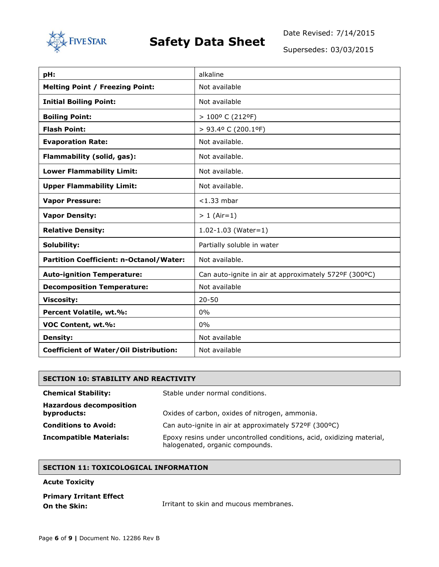

Date Revised: 7/14/2015

Supersedes: 03/03/2015

| pH:                                                              | alkaline                                              |  |  |
|------------------------------------------------------------------|-------------------------------------------------------|--|--|
| <b>Melting Point / Freezing Point:</b>                           | Not available                                         |  |  |
| <b>Initial Boiling Point:</b>                                    | Not available                                         |  |  |
| <b>Boiling Point:</b>                                            | > 100° C (212°F)                                      |  |  |
| <b>Flash Point:</b>                                              | > 93.4º C (200.1ºF)                                   |  |  |
| <b>Evaporation Rate:</b>                                         | Not available.                                        |  |  |
| Flammability (solid, gas):                                       | Not available.                                        |  |  |
| <b>Lower Flammability Limit:</b>                                 | Not available.                                        |  |  |
| <b>Upper Flammability Limit:</b>                                 | Not available.                                        |  |  |
| <b>Vapor Pressure:</b><br>$<$ 1.33 mbar                          |                                                       |  |  |
| <b>Vapor Density:</b>                                            | $> 1$ (Air=1)                                         |  |  |
| <b>Relative Density:</b>                                         | $1.02 - 1.03$ (Water=1)                               |  |  |
| Solubility:                                                      | Partially soluble in water                            |  |  |
| <b>Partition Coefficient: n-Octanol/Water:</b><br>Not available. |                                                       |  |  |
| <b>Auto-ignition Temperature:</b>                                | Can auto-ignite in air at approximately 572ºF (300ºC) |  |  |
| <b>Decomposition Temperature:</b>                                | Not available                                         |  |  |
| <b>Viscosity:</b>                                                | $20 - 50$                                             |  |  |
| Percent Volatile, wt.%:                                          | 0%                                                    |  |  |
| VOC Content, wt.%:                                               | $0\%$                                                 |  |  |
| <b>Density:</b>                                                  | Not available                                         |  |  |
| <b>Coefficient of Water/Oil Distribution:</b>                    | Not available                                         |  |  |

| <b>SECTION 10: STABILITY AND REACTIVITY</b>   |                                                                                                          |  |
|-----------------------------------------------|----------------------------------------------------------------------------------------------------------|--|
| <b>Chemical Stability:</b>                    | Stable under normal conditions.                                                                          |  |
| <b>Hazardous decomposition</b><br>byproducts: | Oxides of carbon, oxides of nitrogen, ammonia.                                                           |  |
| <b>Conditions to Avoid:</b>                   | Can auto-ignite in air at approximately 572ºF (300ºC)                                                    |  |
| <b>Incompatible Materials:</b>                | Epoxy resins under uncontrolled conditions, acid, oxidizing material,<br>halogenated, organic compounds. |  |

#### **SECTION 11: TOXICOLOGICAL INFORMATION**

**Acute Toxicity**

| Irritant to skin an |
|---------------------|
|                     |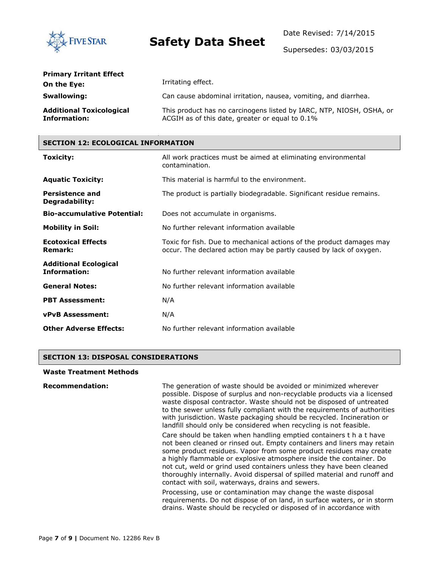

Supersedes: 03/03/2015

| <b>Primary Irritant Effect</b>                         |                                                                                                                         |  |  |
|--------------------------------------------------------|-------------------------------------------------------------------------------------------------------------------------|--|--|
| On the Eye:                                            | Irritating effect.                                                                                                      |  |  |
| Swallowing:                                            | Can cause abdominal irritation, nausea, vomiting, and diarrhea.                                                         |  |  |
| <b>Additional Toxicological</b><br><b>Information:</b> | This product has no carcinogens listed by IARC, NTP, NIOSH, OSHA, or<br>ACGIH as of this date, greater or equal to 0.1% |  |  |

#### **SECTION 12: ECOLOGICAL INFORMATION**

| Toxicity:                                           | All work practices must be aimed at eliminating environmental<br>contamination.                                                            |  |  |
|-----------------------------------------------------|--------------------------------------------------------------------------------------------------------------------------------------------|--|--|
| <b>Aquatic Toxicity:</b>                            | This material is harmful to the environment.                                                                                               |  |  |
| <b>Persistence and</b><br>Degradability:            | The product is partially biodegradable. Significant residue remains.                                                                       |  |  |
| <b>Bio-accumulative Potential:</b>                  | Does not accumulate in organisms.                                                                                                          |  |  |
| <b>Mobility in Soil:</b>                            | No further relevant information available                                                                                                  |  |  |
| <b>Ecotoxical Effects</b><br><b>Remark:</b>         | Toxic for fish. Due to mechanical actions of the product damages may<br>occur. The declared action may be partly caused by lack of oxygen. |  |  |
| <b>Additional Ecological</b><br><b>Information:</b> | No further relevant information available                                                                                                  |  |  |
| <b>General Notes:</b>                               | No further relevant information available                                                                                                  |  |  |
| <b>PBT Assessment:</b>                              | N/A                                                                                                                                        |  |  |
| <b>vPvB Assessment:</b>                             | N/A                                                                                                                                        |  |  |
| <b>Other Adverse Effects:</b>                       | No further relevant information available                                                                                                  |  |  |

#### **SECTION 13: DISPOSAL CONSIDERATIONS**

#### **Waste Treatment Methods**

**Recommendation:** The generation of waste should be avoided or minimized wherever possible. Dispose of surplus and non-recyclable products via a licensed waste disposal contractor. Waste should not be disposed of untreated to the sewer unless fully compliant with the requirements of authorities with jurisdiction. Waste packaging should be recycled. Incineration or landfill should only be considered when recycling is not feasible.

> Care should be taken when handling emptied containers t h a t have not been cleaned or rinsed out. Empty containers and liners may retain some product residues. Vapor from some product residues may create a highly flammable or explosive atmosphere inside the container. Do not cut, weld or grind used containers unless they have been cleaned thoroughly internally. Avoid dispersal of spilled material and runoff and contact with soil, waterways, drains and sewers.

> Processing, use or contamination may change the waste disposal requirements. Do not dispose of on land, in surface waters, or in storm drains. Waste should be recycled or disposed of in accordance with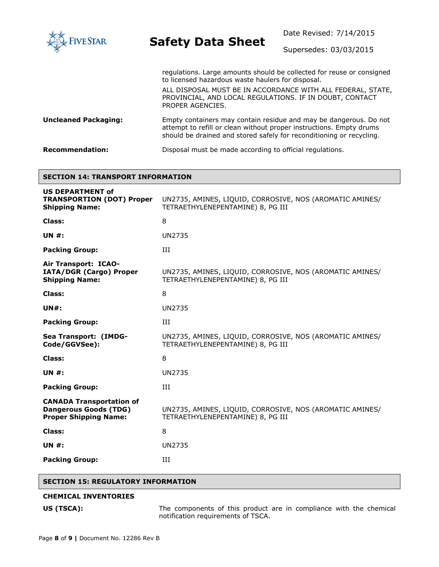

Date Revised: 7/14/2015

Supersedes: 03/03/2015

|                             | regulations. Large amounts should be collected for reuse or consigned<br>to licensed hazardous waste haulers for disposal.                                                                                       |  |  |
|-----------------------------|------------------------------------------------------------------------------------------------------------------------------------------------------------------------------------------------------------------|--|--|
|                             | ALL DISPOSAL MUST BE IN ACCORDANCE WITH ALL FEDERAL, STATE,<br>PROVINCIAL, AND LOCAL REGULATIONS. IF IN DOUBT, CONTACT<br>PROPER AGENCIES.                                                                       |  |  |
| <b>Uncleaned Packaging:</b> | Empty containers may contain residue and may be dangerous. Do not<br>attempt to refill or clean without proper instructions. Empty drums<br>should be drained and stored safely for reconditioning or recycling. |  |  |
| <b>Recommendation:</b>      | Disposal must be made according to official regulations.                                                                                                                                                         |  |  |

#### **SECTION 14: TRANSPORT INFORMATION**

| <b>US DEPARTMENT of</b>                                                                         |                                                                                               |
|-------------------------------------------------------------------------------------------------|-----------------------------------------------------------------------------------------------|
| <b>TRANSPORTION (DOT) Proper</b><br><b>Shipping Name:</b>                                       | UN2735, AMINES, LIQUID, CORROSIVE, NOS (AROMATIC AMINES/<br>TETRAETHYLENEPENTAMINE) 8, PG III |
| Class:                                                                                          | 8                                                                                             |
| UN $#$ :                                                                                        | <b>UN2735</b>                                                                                 |
| <b>Packing Group:</b>                                                                           | ИI                                                                                            |
| Air Transport: ICAO-<br>IATA/DGR (Cargo) Proper<br><b>Shipping Name:</b>                        | UN2735, AMINES, LIQUID, CORROSIVE, NOS (AROMATIC AMINES/<br>TETRAETHYLENEPENTAMINE) 8, PG III |
| Class:                                                                                          | 8                                                                                             |
| $UN#$ :                                                                                         | <b>UN2735</b>                                                                                 |
| <b>Packing Group:</b>                                                                           | III                                                                                           |
| Sea Transport: (IMDG-<br>Code/GGVSee):                                                          | UN2735, AMINES, LIQUID, CORROSIVE, NOS (AROMATIC AMINES/<br>TETRAETHYLENEPENTAMINE) 8, PG III |
| Class:                                                                                          | 8                                                                                             |
| <b>UN #:</b>                                                                                    | <b>UN2735</b>                                                                                 |
| <b>Packing Group:</b>                                                                           | Ш                                                                                             |
| <b>CANADA Transportation of</b><br><b>Dangerous Goods (TDG)</b><br><b>Proper Shipping Name:</b> | UN2735, AMINES, LIQUID, CORROSIVE, NOS (AROMATIC AMINES/<br>TETRAETHYLENEPENTAMINE) 8, PG III |
| Class:                                                                                          | 8                                                                                             |
| <b>UN #:</b>                                                                                    | <b>UN2735</b>                                                                                 |
| <b>Packing Group:</b>                                                                           | Ш                                                                                             |
|                                                                                                 |                                                                                               |

#### **SECTION 15: REGULATORY INFORMATION**

#### **CHEMICAL INVENTORIES**

**US (TSCA):** The components of this product are in compliance with the chemical notification requirements of TSCA.